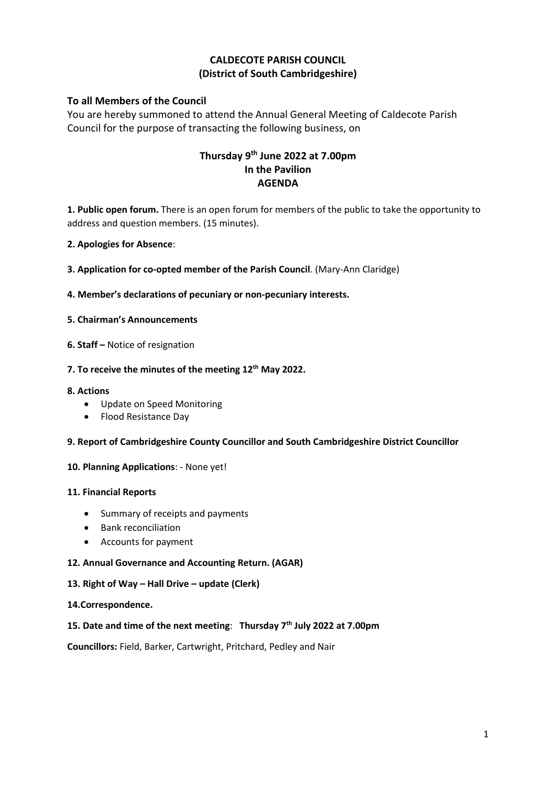## **CALDECOTE PARISH COUNCIL (District of South Cambridgeshire)**

## **To all Members of the Council**

You are hereby summoned to attend the Annual General Meeting of Caldecote Parish Council for the purpose of transacting the following business, on

# **Thursday 9 th June 2022 at 7.00pm In the Pavilion AGENDA**

**1. Public open forum.** There is an open forum for members of the public to take the opportunity to address and question members. (15 minutes).

- **2. Apologies for Absence**:
- **3. Application for co-opted member of the Parish Council**. (Mary-Ann Claridge)
- **4. Member's declarations of pecuniary or non-pecuniary interests.**
- **5. Chairman's Announcements**
- **6. Staff –** Notice of resignation

## **7. To receive the minutes of the meeting 12th May 2022.**

- **8. Actions**
	- Update on Speed Monitoring
	- Flood Resistance Day
- **9. Report of Cambridgeshire County Councillor and South Cambridgeshire District Councillor**

## **10. Planning Applications**: - None yet!

### **11. Financial Reports**

- Summary of receipts and payments
- Bank reconciliation
- Accounts for payment
- **12. Annual Governance and Accounting Return. (AGAR)**

### **13. Right of Way – Hall Drive – update (Clerk)**

### **14.Correspondence.**

### **15. Date and time of the next meeting**: **Thursday 7th July 2022 at 7.00pm**

**Councillors:** Field, Barker, Cartwright, Pritchard, Pedley and Nair